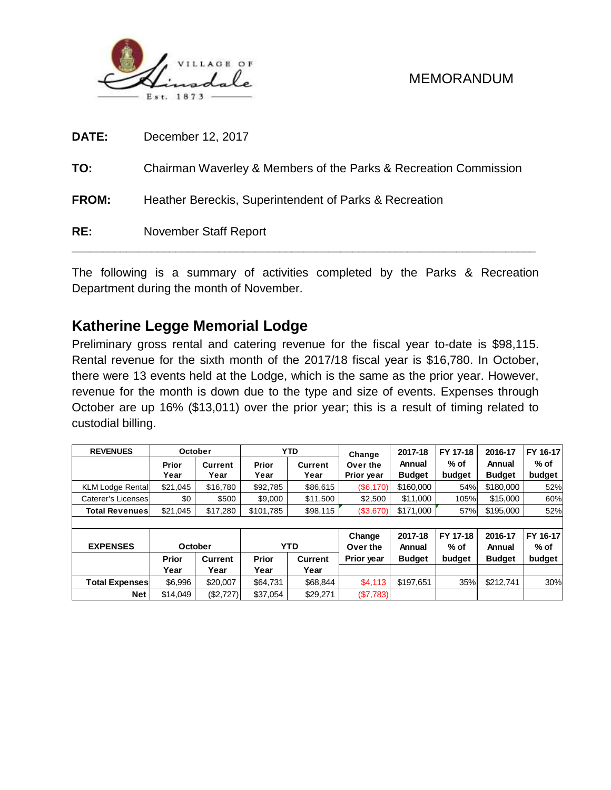

| DATE:        | December 12, 2017                                                |
|--------------|------------------------------------------------------------------|
| TO:          | Chairman Waverley & Members of the Parks & Recreation Commission |
| <b>FROM:</b> | Heather Bereckis, Superintendent of Parks & Recreation           |
| RE:          | <b>November Staff Report</b>                                     |

The following is a summary of activities completed by the Parks & Recreation Department during the month of November.

# **Katherine Legge Memorial Lodge**

Preliminary gross rental and catering revenue for the fiscal year to-date is \$98,115. Rental revenue for the sixth month of the 2017/18 fiscal year is \$16,780. In October, there were 13 events held at the Lodge, which is the same as the prior year. However, revenue for the month is down due to the type and size of events. Expenses through October are up 16% (\$13,011) over the prior year; this is a result of timing related to custodial billing.

| <b>REVENUES</b>         |              | October   |                       | <b>YTD</b>     | Change     | 2017-18       | FY 17-18 | 2016-17       | FY 16-17 |  |  |
|-------------------------|--------------|-----------|-----------------------|----------------|------------|---------------|----------|---------------|----------|--|--|
|                         | Prior        | Current   | Prior                 | <b>Current</b> | Over the   | Annual        | $%$ of   | Annual        | $%$ of   |  |  |
|                         | Year         | Year      | Year                  | Year           | Prior year | <b>Budget</b> | budget   | <b>Budget</b> | budget   |  |  |
| <b>KLM Lodge Rental</b> | \$21,045     | \$16,780  | \$92,785<br>\$86,615  |                | (\$6,170)  | \$160,000     | 54%      | \$180,000     | 52%      |  |  |
| Caterer's Licenses      | \$0          | \$500     | \$11,500<br>\$9,000   |                | \$2,500    | \$11,000      | 105%     | \$15,000      | 60%      |  |  |
| <b>Total Revenues</b>   | \$21.045     | \$17,280  | \$98,115<br>\$101,785 |                | (\$3,670)  | \$171.000     | 57%      | \$195,000     | 52%      |  |  |
|                         |              |           |                       |                |            |               |          |               |          |  |  |
|                         |              |           |                       |                | Change     | 2017-18       | FY 17-18 | 2016-17       | FY 16-17 |  |  |
| <b>EXPENSES</b>         |              | October   |                       | <b>YTD</b>     |            | Annual        | $%$ of   | Annual        | $%$ of   |  |  |
|                         | <b>Prior</b> | Current   | Prior                 | <b>Current</b> | Prior year | <b>Budget</b> | budget   | <b>Budget</b> | budget   |  |  |
|                         | Year         | Year      | Year                  | Year           |            |               |          |               |          |  |  |
| <b>Total Expenses</b>   | \$6.996      | \$20,007  | \$64,731              | \$68,844       | \$4,113    | \$197,651     | 35%      | \$212.741     | 30%      |  |  |
| <b>Net</b>              | \$14.049     | (\$2,727) | \$37,054              | \$29,271       | (S7,783)   |               |          |               |          |  |  |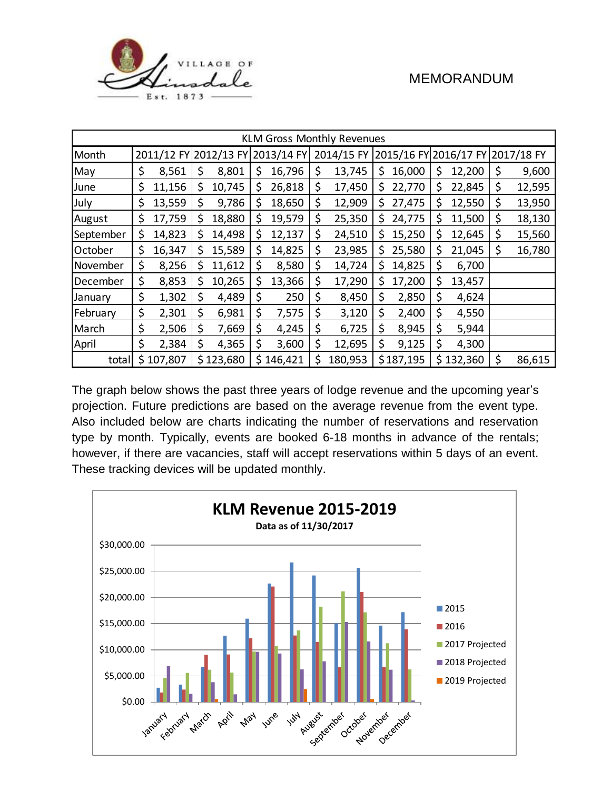

| <b>KLM Gross Monthly Revenues</b> |    |                       |    |           |            |           |    |         |     |           |                                             |           |              |
|-----------------------------------|----|-----------------------|----|-----------|------------|-----------|----|---------|-----|-----------|---------------------------------------------|-----------|--------------|
| Month                             |    | 2011/12 FY 2012/13 FY |    |           | 2013/14 FY |           |    |         |     |           | 2014/15 FY 2015/16 FY 2016/17 FY 2017/18 FY |           |              |
| May                               | \$ | 8,561                 | \$ | 8,801     | \$         | 16,796    | \$ | 13,745  | \$  | 16,000    | \$                                          | 12,200    | \$<br>9,600  |
| June                              | \$ | 11,156                | \$ | 10,745    | \$         | 26,818    | \$ | 17,450  | \$  | 22,770    | \$                                          | 22,845    | \$<br>12,595 |
| July                              | \$ | 13,559                | \$ | 9,786     | \$         | 18,650    | \$ | 12,909  | \$. | 27,475    | \$                                          | 12,550    | \$<br>13,950 |
| August                            | \$ | 17,759                | \$ | 18,880    | \$         | 19,579    | \$ | 25,350  | \$  | 24,775    | \$                                          | 11,500    | \$<br>18,130 |
| September                         | \$ | 14,823                | \$ | 14,498    | \$         | 12,137    | \$ | 24,510  | \$  | 15,250    | \$                                          | 12,645    | \$<br>15,560 |
| October                           | \$ | 16,347                | \$ | 15,589    | \$         | 14,825    | \$ | 23,985  | \$  | 25,580    | \$                                          | 21,045    | \$<br>16,780 |
| November                          | \$ | 8,256                 | \$ | 11,612    | \$         | 8,580     | \$ | 14,724  | \$  | 14,825    | \$                                          | 6,700     |              |
| December                          | \$ | 8,853                 | \$ | 10,265    | \$         | 13,366    | \$ | 17,290  | \$  | 17,200    | \$                                          | 13,457    |              |
| January                           | \$ | 1,302                 | \$ | 4,489     | \$         | 250       | \$ | 8,450   | \$  | 2,850     | \$                                          | 4,624     |              |
| February                          | \$ | 2,301                 | \$ | 6,981     | \$         | 7,575     | \$ | 3,120   | \$  | 2,400     | \$                                          | 4,550     |              |
| March                             | \$ | 2,506                 | \$ | 7,669     | \$         | 4,245     | \$ | 6,725   | \$  | 8,945     | \$                                          | 5,944     |              |
| April                             | \$ | 2,384                 | \$ | 4,365     | \$         | 3,600     | \$ | 12,695  | \$  | 9,125     | \$                                          | 4,300     |              |
| total                             |    | \$107,807             |    | \$123,680 |            | \$146,421 | \$ | 180,953 |     | \$187,195 |                                             | \$132,360 | \$<br>86,615 |

The graph below shows the past three years of lodge revenue and the upcoming year's projection. Future predictions are based on the average revenue from the event type. Also included below are charts indicating the number of reservations and reservation type by month. Typically, events are booked 6-18 months in advance of the rentals; however, if there are vacancies, staff will accept reservations within 5 days of an event. These tracking devices will be updated monthly.

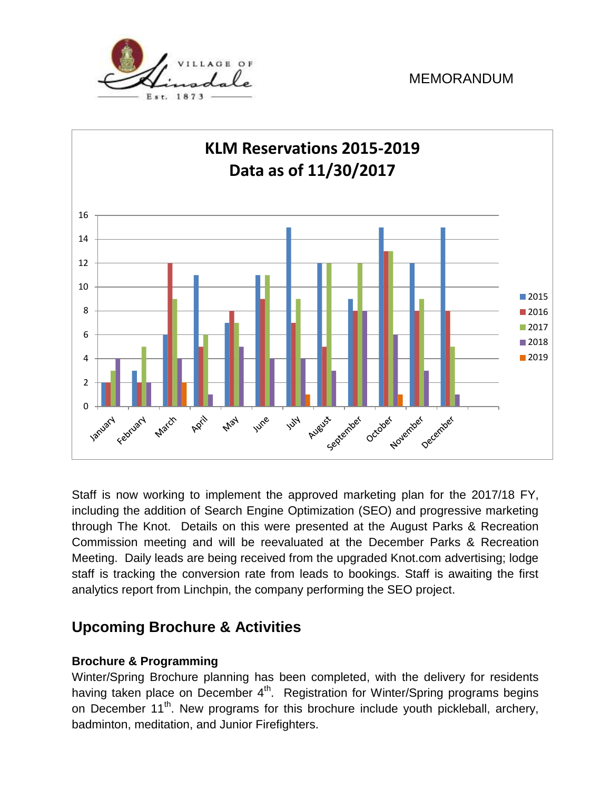



Staff is now working to implement the approved marketing plan for the 2017/18 FY, including the addition of Search Engine Optimization (SEO) and progressive marketing through The Knot. Details on this were presented at the August Parks & Recreation Commission meeting and will be reevaluated at the December Parks & Recreation Meeting. Daily leads are being received from the upgraded Knot.com advertising; lodge staff is tracking the conversion rate from leads to bookings. Staff is awaiting the first analytics report from Linchpin, the company performing the SEO project.

# **Upcoming Brochure & Activities**

### **Brochure & Programming**

Winter/Spring Brochure planning has been completed, with the delivery for residents having taken place on December 4<sup>th</sup>. Registration for Winter/Spring programs begins on December 11<sup>th</sup>. New programs for this brochure include youth pickleball, archery, badminton, meditation, and Junior Firefighters.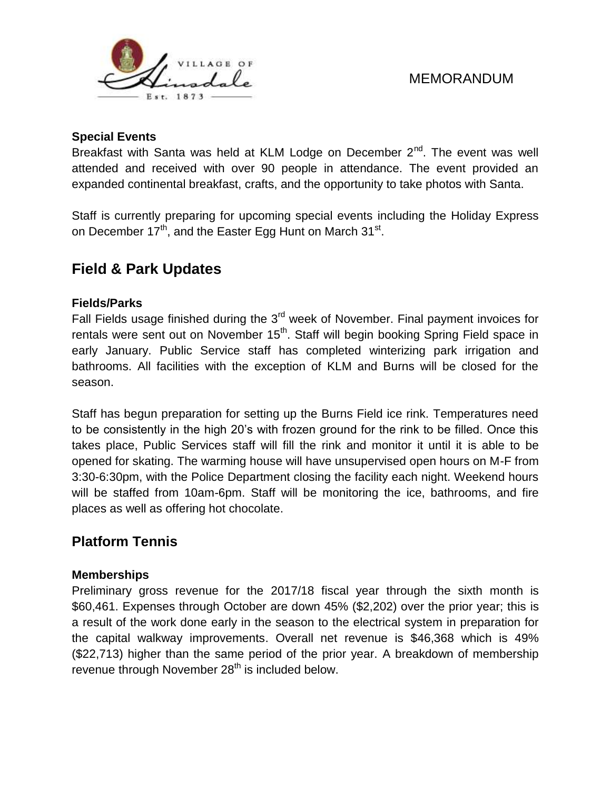

#### **Special Events**

Breakfast with Santa was held at KLM Lodge on December  $2^{nd}$ . The event was well attended and received with over 90 people in attendance. The event provided an expanded continental breakfast, crafts, and the opportunity to take photos with Santa.

Staff is currently preparing for upcoming special events including the Holiday Express on December 17<sup>th</sup>, and the Easter Egg Hunt on March 31<sup>st</sup>.

# **Field & Park Updates**

#### **Fields/Parks**

Fall Fields usage finished during the  $3<sup>rd</sup>$  week of November. Final payment invoices for rentals were sent out on November 15<sup>th</sup>. Staff will begin booking Spring Field space in early January. Public Service staff has completed winterizing park irrigation and bathrooms. All facilities with the exception of KLM and Burns will be closed for the season.

Staff has begun preparation for setting up the Burns Field ice rink. Temperatures need to be consistently in the high 20's with frozen ground for the rink to be filled. Once this takes place, Public Services staff will fill the rink and monitor it until it is able to be opened for skating. The warming house will have unsupervised open hours on M-F from 3:30-6:30pm, with the Police Department closing the facility each night. Weekend hours will be staffed from 10am-6pm. Staff will be monitoring the ice, bathrooms, and fire places as well as offering hot chocolate.

### **Platform Tennis**

#### **Memberships**

Preliminary gross revenue for the 2017/18 fiscal year through the sixth month is \$60,461. Expenses through October are down 45% (\$2,202) over the prior year; this is a result of the work done early in the season to the electrical system in preparation for the capital walkway improvements. Overall net revenue is \$46,368 which is 49% (\$22,713) higher than the same period of the prior year. A breakdown of membership revenue through November 28<sup>th</sup> is included below.